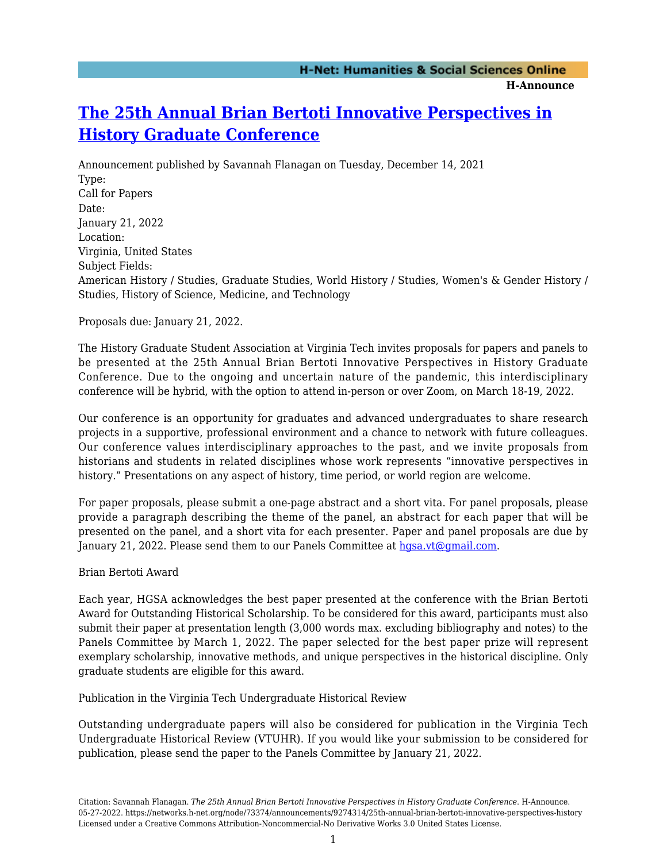## **[The 25th Annual Brian Bertoti Innovative Perspectives in](https://networks.h-net.org/node/73374/announcements/9274314/25th-annual-brian-bertoti-innovative-perspectives-history) [History Graduate Conference](https://networks.h-net.org/node/73374/announcements/9274314/25th-annual-brian-bertoti-innovative-perspectives-history)**

Announcement published by Savannah Flanagan on Tuesday, December 14, 2021 Type: Call for Papers Date: January 21, 2022 Location: Virginia, United States Subject Fields: American History / Studies, Graduate Studies, World History / Studies, Women's & Gender History / Studies, History of Science, Medicine, and Technology

Proposals due: January 21, 2022.

The History Graduate Student Association at Virginia Tech invites proposals for papers and panels to be presented at the 25th Annual Brian Bertoti Innovative Perspectives in History Graduate Conference. Due to the ongoing and uncertain nature of the pandemic, this interdisciplinary conference will be hybrid, with the option to attend in-person or over Zoom, on March 18-19, 2022.

Our conference is an opportunity for graduates and advanced undergraduates to share research projects in a supportive, professional environment and a chance to network with future colleagues. Our conference values interdisciplinary approaches to the past, and we invite proposals from historians and students in related disciplines whose work represents "innovative perspectives in history." Presentations on any aspect of history, time period, or world region are welcome.

For paper proposals, please submit a one-page abstract and a short vita. For panel proposals, please provide a paragraph describing the theme of the panel, an abstract for each paper that will be presented on the panel, and a short vita for each presenter. Paper and panel proposals are due by January 21, 2022. Please send them to our Panels Committee at [hgsa.vt@gmail.com](mailto:hgsa.vt@gmail.com).

Brian Bertoti Award

Each year, HGSA acknowledges the best paper presented at the conference with the Brian Bertoti Award for Outstanding Historical Scholarship. To be considered for this award, participants must also submit their paper at presentation length (3,000 words max. excluding bibliography and notes) to the Panels Committee by March 1, 2022. The paper selected for the best paper prize will represent exemplary scholarship, innovative methods, and unique perspectives in the historical discipline. Only graduate students are eligible for this award.

Publication in the Virginia Tech Undergraduate Historical Review

Outstanding undergraduate papers will also be considered for publication in the Virginia Tech Undergraduate Historical Review (VTUHR). If you would like your submission to be considered for publication, please send the paper to the Panels Committee by January 21, 2022.